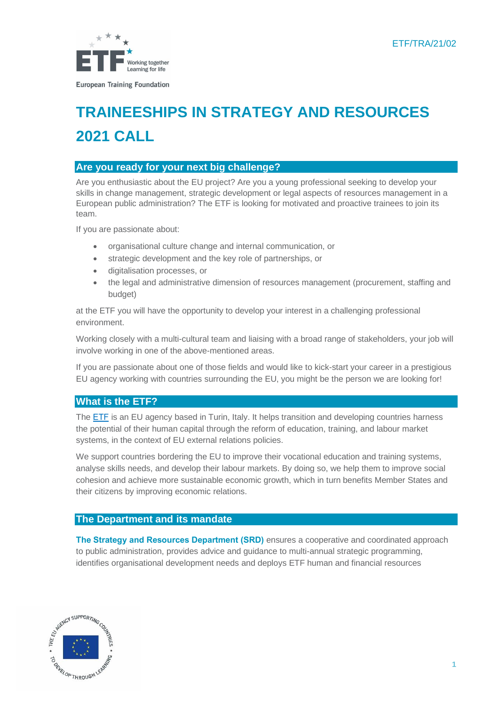

# **TRAINEESHIPS IN STRATEGY AND RESOURCES 2021 CALL**

## **Are you ready for your next big challenge?**

Are you enthusiastic about the EU project? Are you a young professional seeking to develop your skills in change management, strategic development or legal aspects of resources management in a European public administration? The ETF is looking for motivated and proactive trainees to join its team.

If you are passionate about:

- organisational culture change and internal communication, or
- strategic development and the key role of partnerships, or
- digitalisation processes, or
- the legal and administrative dimension of resources management (procurement, staffing and budget)

at the ETF you will have the opportunity to develop your interest in a challenging professional environment.

Working closely with a multi-cultural team and liaising with a broad range of stakeholders, your job will involve working in one of the above-mentioned areas.

If you are passionate about one of those fields and would like to kick-start your career in a prestigious EU agency working with countries surrounding the EU, you might be the person we are looking for!

# **What is the ETF?**

The **ETF** [is an EU agency](https://www.etf.europa.eu/) based in Turin, Italy. It helps transition and developing countries harness the potential of their human capital through the reform of education, training, and labour market systems, in the context of EU external relations policies.

We support countries bordering the EU to improve their vocational education and training systems, analyse skills needs, and develop their labour markets. By doing so, we help them to improve social cohesion and achieve more sustainable economic growth, which in turn benefits Member States and their citizens by improving economic relations.

## **The Department and its mandate**

**The Strategy and Resources Department (SRD)** ensures a cooperative and coordinated approach to public administration, provides advice and guidance to multi-annual strategic programming, identifies organisational development needs and deploys ETF human and financial resources

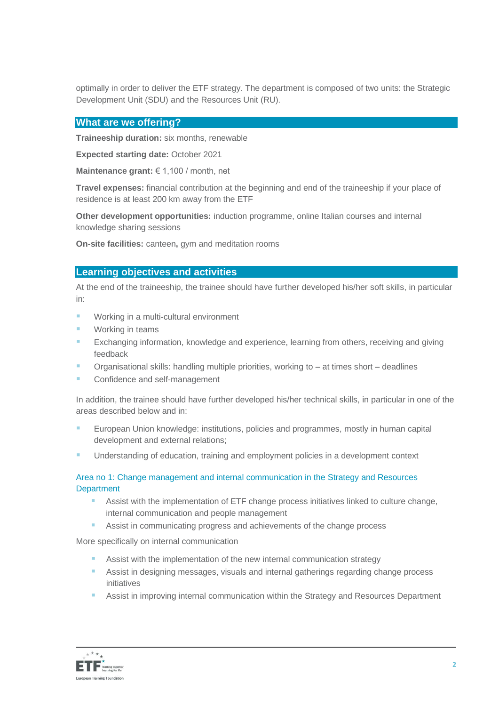optimally in order to deliver the ETF strategy. The department is composed of two units: the Strategic Development Unit (SDU) and the Resources Unit (RU).

#### **What are we offering?**

**Traineeship duration:** six months, renewable

**Expected starting date:** October 2021

**Maintenance grant:** € 1,100 / month, net

**Travel expenses:** financial contribution at the beginning and end of the traineeship if your place of residence is at least 200 km away from the ETF

**Other development opportunities:** induction programme, online Italian courses and internal knowledge sharing sessions

**On-site facilities:** canteen**,** gym and meditation rooms

### **Learning objectives and activities**

At the end of the traineeship, the trainee should have further developed his/her soft skills, in particular in:

- Working in a multi-cultural environment
- Working in teams
- **Exchanging information, knowledge and experience, learning from others, receiving and giving** feedback
- Organisational skills: handling multiple priorities, working to at times short deadlines
- Confidence and self-management

In addition, the trainee should have further developed his/her technical skills, in particular in one of the areas described below and in:

- European Union knowledge: institutions, policies and programmes, mostly in human capital development and external relations;
- Understanding of education, training and employment policies in a development context

## Area no 1: Change management and internal communication in the Strategy and Resources **Department**

- Assist with the implementation of ETF change process initiatives linked to culture change, internal communication and people management
- Assist in communicating progress and achievements of the change process

More specifically on internal communication

- Assist with the implementation of the new internal communication strategy
- Assist in designing messages, visuals and internal gatherings regarding change process initiatives
- Assist in improving internal communication within the Strategy and Resources Department

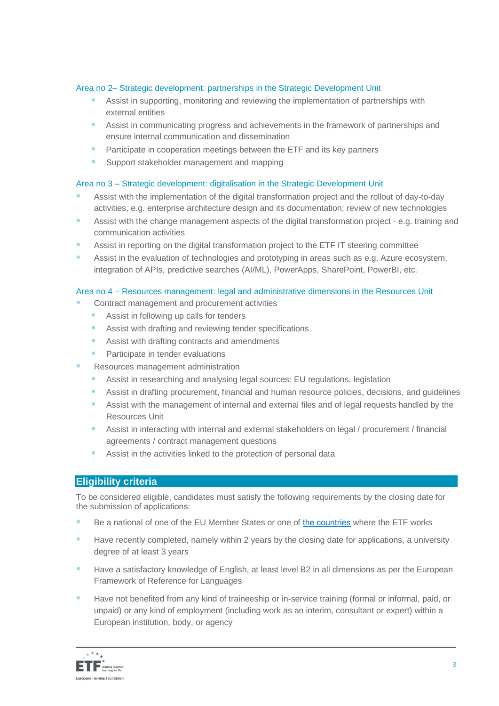#### Area no 2– Strategic development: partnerships in the Strategic Development Unit

- Assist in supporting, monitoring and reviewing the implementation of partnerships with external entities
- Assist in communicating progress and achievements in the framework of partnerships and ensure internal communication and dissemination
- **Participate in cooperation meetings between the ETF and its key partners**
- Support stakeholder management and mapping

#### Area no 3 – Strategic development: digitalisation in the Strategic Development Unit

- Assist with the implementation of the digital transformation project and the rollout of day-to-day activities, e.g. enterprise architecture design and its documentation; review of new technologies
- Assist with the change management aspects of the digital transformation project e.g. training and communication activities
- Assist in reporting on the digital transformation project to the ETF IT steering committee
- **EXECT** Assist in the evaluation of technologies and prototyping in areas such as e.g. Azure ecosystem, integration of APIs, predictive searches (AI/ML), PowerApps, SharePoint, PowerBI, etc.

#### Area no 4 – Resources management: legal and administrative dimensions in the Resources Unit

- Contract management and procurement activities
	- Assist in following up calls for tenders
	- Assist with drafting and reviewing tender specifications
	- Assist with drafting contracts and amendments
	- Participate in tender evaluations
- Resources management administration
	- Assist in researching and analysing legal sources: EU regulations, legislation
	- Assist in drafting procurement, financial and human resource policies, decisions, and guidelines
	- Assist with the management of internal and external files and of legal requests handled by the Resources Unit
	- Assist in interacting with internal and external stakeholders on legal / procurement / financial agreements / contract management questions
	- Assist in the activities linked to the protection of personal data

## **Eligibility criteria**

To be considered eligible, candidates must satisfy the following requirements by the closing date for the submission of applications:

- Be a national of one of the EU Member States or one of [the countries](https://www.etf.europa.eu/en/regions-and-countries) where the ETF works
- Have recently completed, namely within 2 years by the closing date for applications, a university degree of at least 3 years
- Have a satisfactory knowledge of English, at least level B2 in all dimensions as per the European Framework of Reference for Languages
- Have not benefited from any kind of traineeship or in-service training (formal or informal, paid, or unpaid) or any kind of employment (including work as an interim, consultant or expert) within a European institution, body, or agency

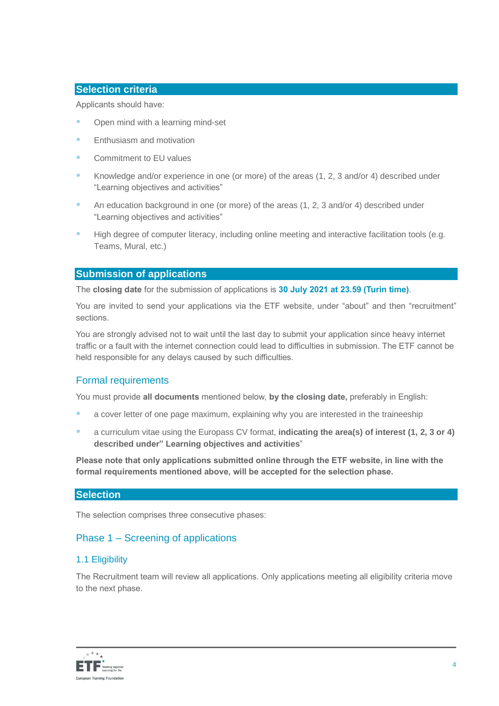# **Selection criteria**

Applicants should have:

- Open mind with a learning mind-set
- Enthusiasm and motivation
- Commitment to EU values
- Knowledge and/or experience in one (or more) of the areas (1, 2, 3 and/or 4) described under "Learning objectives and activities"
- An education background in one (or more) of the areas (1, 2, 3 and/or 4) described under "Learning objectives and activities"
- High degree of computer literacy, including online meeting and interactive facilitation tools (e.g. Teams, Mural, etc.)

# **Submission of applications**

The **closing date** for the submission of applications is **30 July 2021 at 23.59 (Turin time)**.

You are invited to send your applications via the ETF website, under "about" and then "recruitment" sections.

You are strongly advised not to wait until the last day to submit your application since heavy internet traffic or a fault with the internet connection could lead to difficulties in submission. The ETF cannot be held responsible for any delays caused by such difficulties.

## Formal requirements

You must provide **all documents** mentioned below, **by the closing date,** preferably in English:

- a cover letter of one page maximum, explaining why you are interested in the traineeship
- a curriculum vitae using th[e Europass CV format,](http://europass.cedefop.europa.eu/en/documents/curriculum-vitae/templates-instructions) **indicating the area(s) of interest (1, 2, 3 or 4) described under" Learning objectives and activities**"

**Please note that only applications submitted online through the ETF website, in line with the formal requirements mentioned above, will be accepted for the selection phase.**

## **Selection**

The selection comprises three consecutive phases:

# Phase 1 – Screening of applications

## 1.1 Eligibility

The Recruitment team will review all applications. Only applications meeting all eligibility criteria move to the next phase.